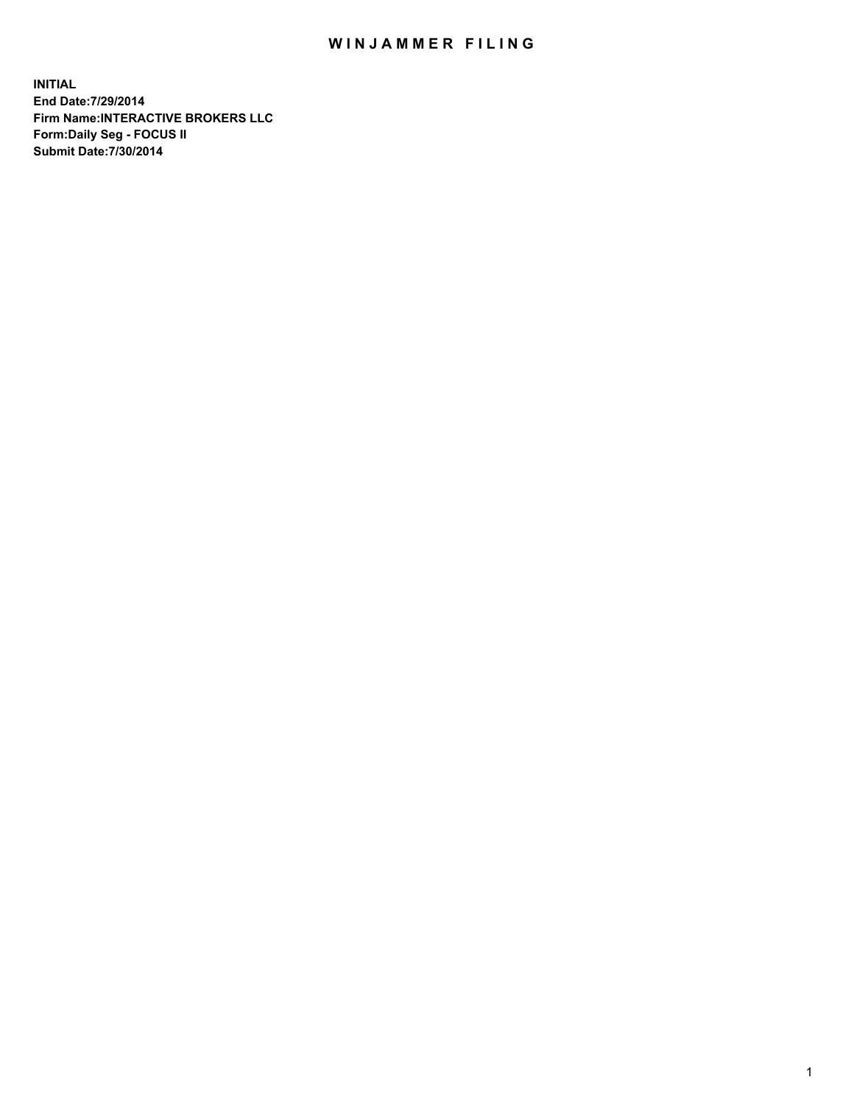## WIN JAMMER FILING

**INITIAL End Date:7/29/2014 Firm Name:INTERACTIVE BROKERS LLC Form:Daily Seg - FOCUS II Submit Date:7/30/2014**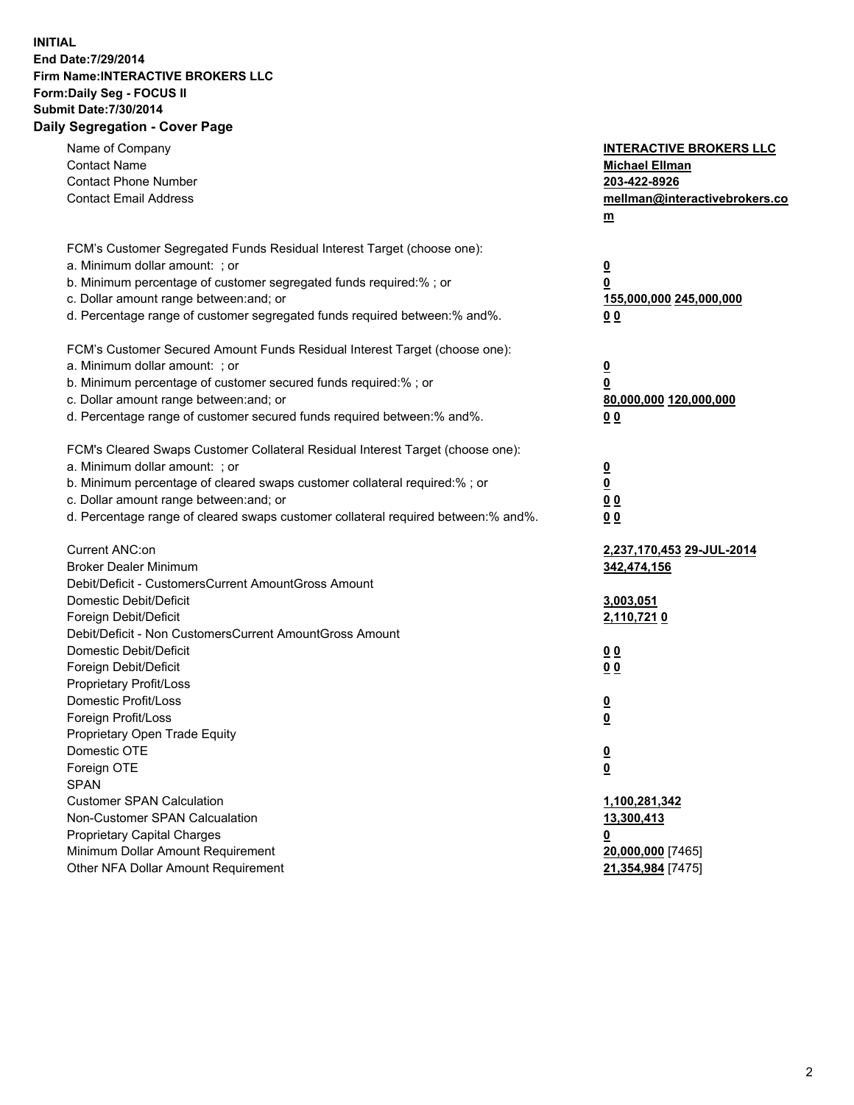## **INITIAL End Date:7/29/2014 Firm Name:INTERACTIVE BROKERS LLC Form:Daily Seg - FOCUS II Submit Date:7/30/2014 Daily Segregation - Cover Page**

| Name of Company<br><b>Contact Name</b><br><b>Contact Phone Number</b><br><b>Contact Email Address</b>                                                                                                                                                                                                                          | <b>INTERACTIVE BROKERS LLC</b><br><b>Michael Ellman</b><br>203-422-8926<br>mellman@interactivebrokers.co<br>m |
|--------------------------------------------------------------------------------------------------------------------------------------------------------------------------------------------------------------------------------------------------------------------------------------------------------------------------------|---------------------------------------------------------------------------------------------------------------|
| FCM's Customer Segregated Funds Residual Interest Target (choose one):<br>a. Minimum dollar amount: ; or<br>b. Minimum percentage of customer segregated funds required:% ; or<br>c. Dollar amount range between: and; or<br>d. Percentage range of customer segregated funds required between:% and%.                         | $\overline{\mathbf{0}}$<br>0<br>155,000,000 245,000,000<br>00                                                 |
| FCM's Customer Secured Amount Funds Residual Interest Target (choose one):<br>a. Minimum dollar amount: ; or<br>b. Minimum percentage of customer secured funds required:% ; or<br>c. Dollar amount range between: and; or<br>d. Percentage range of customer secured funds required between:% and%.                           | $\overline{\mathbf{0}}$<br>0<br>80,000,000 120,000,000<br>0 <sub>0</sub>                                      |
| FCM's Cleared Swaps Customer Collateral Residual Interest Target (choose one):<br>a. Minimum dollar amount: ; or<br>b. Minimum percentage of cleared swaps customer collateral required:% ; or<br>c. Dollar amount range between: and; or<br>d. Percentage range of cleared swaps customer collateral required between:% and%. | $\overline{\mathbf{0}}$<br><u>0</u><br>0 <sub>0</sub><br>0 <sub>0</sub>                                       |
| Current ANC:on<br><b>Broker Dealer Minimum</b><br>Debit/Deficit - CustomersCurrent AmountGross Amount<br>Domestic Debit/Deficit                                                                                                                                                                                                | 2,237,170,453 29-JUL-2014<br>342,474,156<br>3,003,051                                                         |
| Foreign Debit/Deficit<br>Debit/Deficit - Non CustomersCurrent AmountGross Amount<br>Domestic Debit/Deficit<br>Foreign Debit/Deficit<br>Proprietary Profit/Loss<br>Domestic Profit/Loss                                                                                                                                         | 2,110,7210<br>0 <sub>0</sub><br>0 <sub>0</sub><br>$\overline{\mathbf{0}}$                                     |
| Foreign Profit/Loss<br>Proprietary Open Trade Equity<br>Domestic OTE<br>Foreign OTE<br><b>SPAN</b><br><b>Customer SPAN Calculation</b>                                                                                                                                                                                         | $\overline{\mathbf{0}}$<br>$\overline{\mathbf{0}}$<br><u>0</u>                                                |
| Non-Customer SPAN Calcualation<br><b>Proprietary Capital Charges</b><br>Minimum Dollar Amount Requirement<br>Other NFA Dollar Amount Requirement                                                                                                                                                                               | 1,100,281,342<br>13,300,413<br><u>0</u><br>20,000,000 [7465]<br>21,354,984 [7475]                             |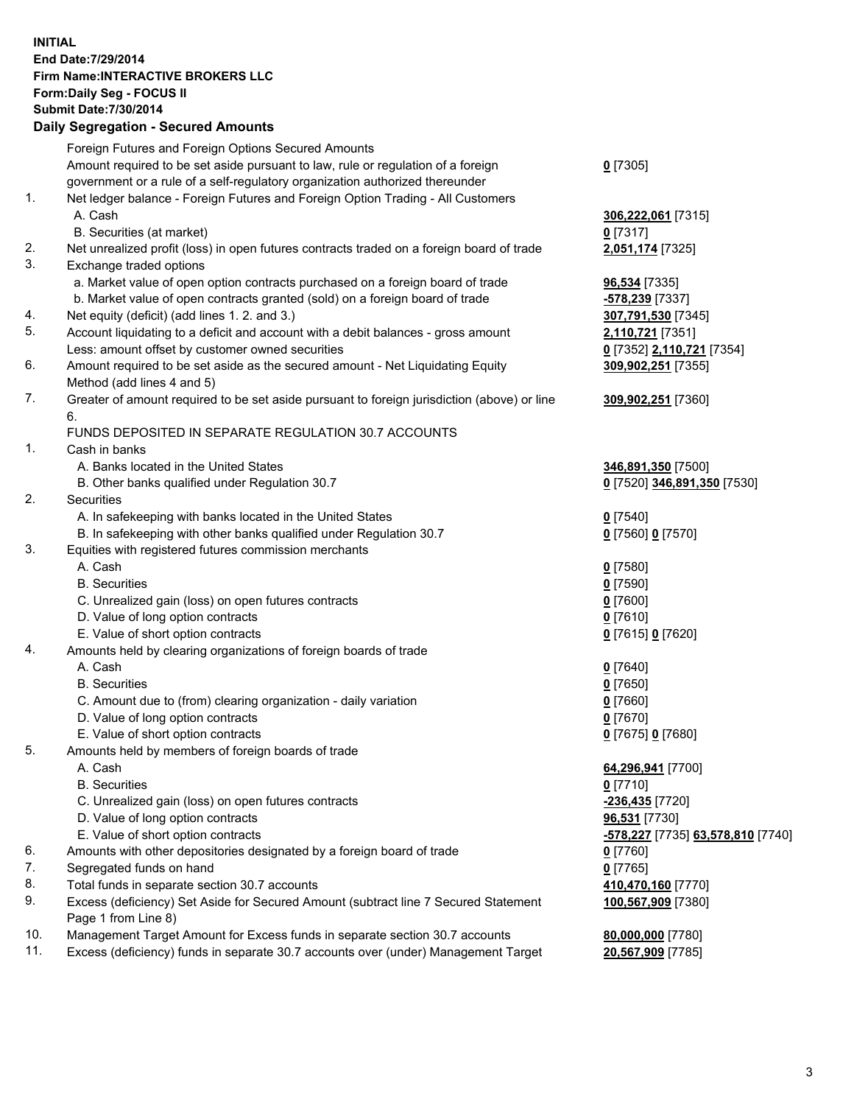## **INITIAL End Date:7/29/2014 Firm Name:INTERACTIVE BROKERS LLC Form:Daily Seg - FOCUS II Submit Date:7/30/2014 Daily Segregation - Secured Amounts**

|     | Foreign Futures and Foreign Options Secured Amounts                                         |                                  |
|-----|---------------------------------------------------------------------------------------------|----------------------------------|
|     | Amount required to be set aside pursuant to law, rule or regulation of a foreign            | $0$ [7305]                       |
|     | government or a rule of a self-regulatory organization authorized thereunder                |                                  |
| 1.  | Net ledger balance - Foreign Futures and Foreign Option Trading - All Customers             |                                  |
|     | A. Cash                                                                                     | 306,222,061 [7315]               |
|     | B. Securities (at market)                                                                   | $0$ [7317]                       |
| 2.  | Net unrealized profit (loss) in open futures contracts traded on a foreign board of trade   | 2,051,174 [7325]                 |
| 3.  | Exchange traded options                                                                     |                                  |
|     | a. Market value of open option contracts purchased on a foreign board of trade              | 96,534 [7335]                    |
|     | b. Market value of open contracts granted (sold) on a foreign board of trade                | -578,239 [7337]                  |
| 4.  | Net equity (deficit) (add lines 1.2. and 3.)                                                | 307,791,530 [7345]               |
| 5.  | Account liquidating to a deficit and account with a debit balances - gross amount           | 2,110,721 [7351]                 |
|     | Less: amount offset by customer owned securities                                            | 0 [7352] 2,110,721 [7354]        |
| 6.  | Amount required to be set aside as the secured amount - Net Liquidating Equity              | 309,902,251 [7355]               |
|     |                                                                                             |                                  |
|     | Method (add lines 4 and 5)                                                                  |                                  |
| 7.  | Greater of amount required to be set aside pursuant to foreign jurisdiction (above) or line | 309,902,251 [7360]               |
|     | 6.                                                                                          |                                  |
|     | FUNDS DEPOSITED IN SEPARATE REGULATION 30.7 ACCOUNTS                                        |                                  |
| 1.  | Cash in banks                                                                               |                                  |
|     | A. Banks located in the United States                                                       | 346,891,350 [7500]               |
|     | B. Other banks qualified under Regulation 30.7                                              | 0 [7520] 346,891,350 [7530]      |
| 2.  | Securities                                                                                  |                                  |
|     | A. In safekeeping with banks located in the United States                                   | $0$ [7540]                       |
|     | B. In safekeeping with other banks qualified under Regulation 30.7                          | 0 [7560] 0 [7570]                |
| 3.  | Equities with registered futures commission merchants                                       |                                  |
|     | A. Cash                                                                                     | $0$ [7580]                       |
|     | <b>B.</b> Securities                                                                        | $0$ [7590]                       |
|     | C. Unrealized gain (loss) on open futures contracts                                         | $0$ [7600]                       |
|     | D. Value of long option contracts                                                           | $0$ [7610]                       |
|     | E. Value of short option contracts                                                          | 0 [7615] 0 [7620]                |
| 4.  | Amounts held by clearing organizations of foreign boards of trade                           |                                  |
|     | A. Cash                                                                                     | $0$ [7640]                       |
|     | <b>B.</b> Securities                                                                        | $0$ [7650]                       |
|     | C. Amount due to (from) clearing organization - daily variation                             | $0$ [7660]                       |
|     | D. Value of long option contracts                                                           | $0$ [7670]                       |
|     | E. Value of short option contracts                                                          | 0 [7675] 0 [7680]                |
| 5.  | Amounts held by members of foreign boards of trade                                          |                                  |
|     | A. Cash                                                                                     | 64,296,941 [7700]                |
|     | <b>B.</b> Securities                                                                        | $0$ [7710]                       |
|     | C. Unrealized gain (loss) on open futures contracts                                         | -236,435 <sup>[7720]</sup>       |
|     | D. Value of long option contracts                                                           | 96,531 [7730]                    |
|     | E. Value of short option contracts                                                          | 578,227 [7735] 63,578,810 [7740] |
| 6.  | Amounts with other depositories designated by a foreign board of trade                      | $0$ [7760]                       |
| 7.  | Segregated funds on hand                                                                    | $0$ [7765]                       |
| 8.  | Total funds in separate section 30.7 accounts                                               | 410,470,160 [7770]               |
| 9.  | Excess (deficiency) Set Aside for Secured Amount (subtract line 7 Secured Statement         | 100,567,909 [7380]               |
|     | Page 1 from Line 8)                                                                         |                                  |
| 10. | Management Target Amount for Excess funds in separate section 30.7 accounts                 | 80,000,000 [7780]                |
| 11. | Excess (deficiency) funds in separate 30.7 accounts over (under) Management Target          | 20,567,909 [7785]                |
|     |                                                                                             |                                  |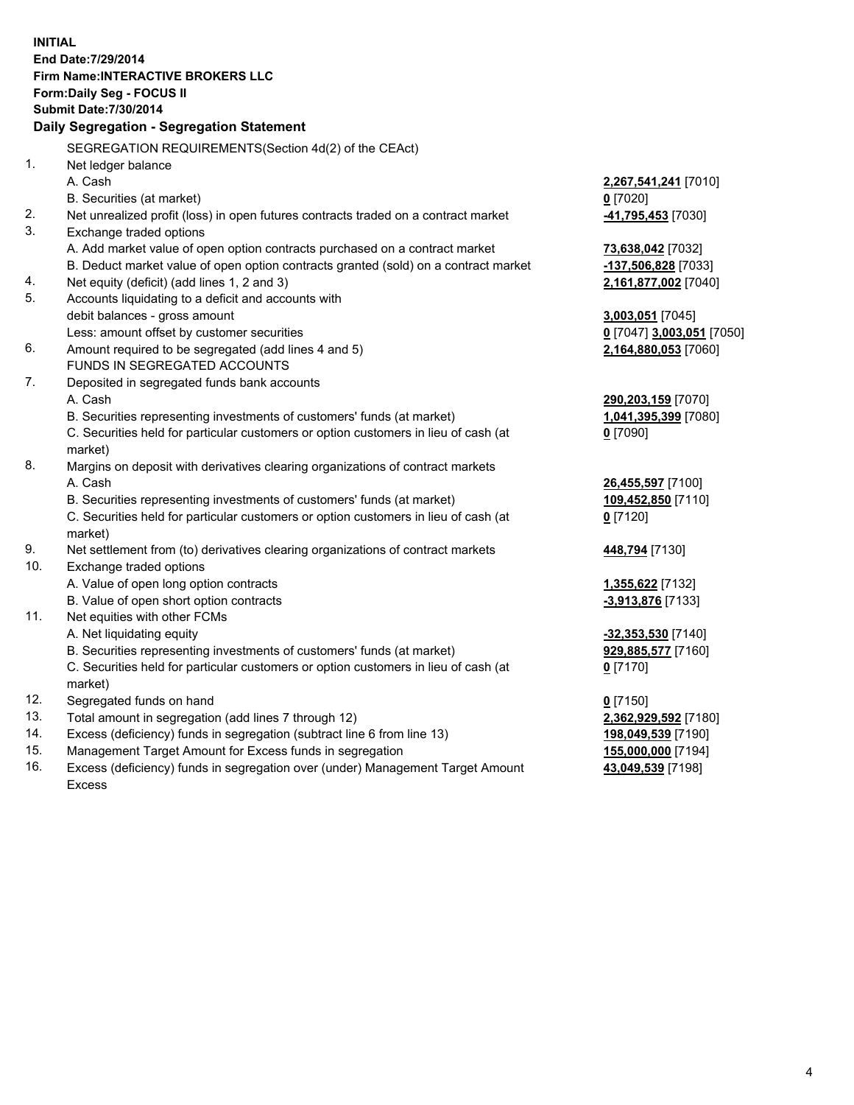**INITIAL End Date:7/29/2014 Firm Name:INTERACTIVE BROKERS LLC Form:Daily Seg - FOCUS II Submit Date:7/30/2014 Daily Segregation - Segregation Statement** SEGREGATION REQUIREMENTS(Section 4d(2) of the CEAct) 1. Net ledger balance A. Cash **2,267,541,241** [7010] B. Securities (at market) **0** [7020] 2. Net unrealized profit (loss) in open futures contracts traded on a contract market **-41,795,453** [7030] 3. Exchange traded options A. Add market value of open option contracts purchased on a contract market **73,638,042** [7032] B. Deduct market value of open option contracts granted (sold) on a contract market **-137,506,828** [7033] 4. Net equity (deficit) (add lines 1, 2 and 3) **2,161,877,002** [7040] 5. Accounts liquidating to a deficit and accounts with debit balances - gross amount **3,003,051** [7045] Less: amount offset by customer securities **0** [7047] **3,003,051** [7050] 6. Amount required to be segregated (add lines 4 and 5) **2,164,880,053** [7060] FUNDS IN SEGREGATED ACCOUNTS 7. Deposited in segregated funds bank accounts A. Cash **290,203,159** [7070] B. Securities representing investments of customers' funds (at market) **1,041,395,399** [7080] C. Securities held for particular customers or option customers in lieu of cash (at market) **0** [7090] 8. Margins on deposit with derivatives clearing organizations of contract markets A. Cash **26,455,597** [7100] B. Securities representing investments of customers' funds (at market) **109,452,850** [7110] C. Securities held for particular customers or option customers in lieu of cash (at market) **0** [7120] 9. Net settlement from (to) derivatives clearing organizations of contract markets **448,794** [7130] 10. Exchange traded options A. Value of open long option contracts **1,355,622** [7132] B. Value of open short option contracts **-3,913,876** [7133] 11. Net equities with other FCMs A. Net liquidating equity **-32,353,530** [7140] B. Securities representing investments of customers' funds (at market) **929,885,577** [7160] C. Securities held for particular customers or option customers in lieu of cash (at market) **0** [7170] 12. Segregated funds on hand **0** [7150] 13. Total amount in segregation (add lines 7 through 12) **2,362,929,592** [7180] 14. Excess (deficiency) funds in segregation (subtract line 6 from line 13) **198,049,539** [7190] 15. Management Target Amount for Excess funds in segregation **155,000,000** [7194]

16. Excess (deficiency) funds in segregation over (under) Management Target Amount Excess

**43,049,539** [7198]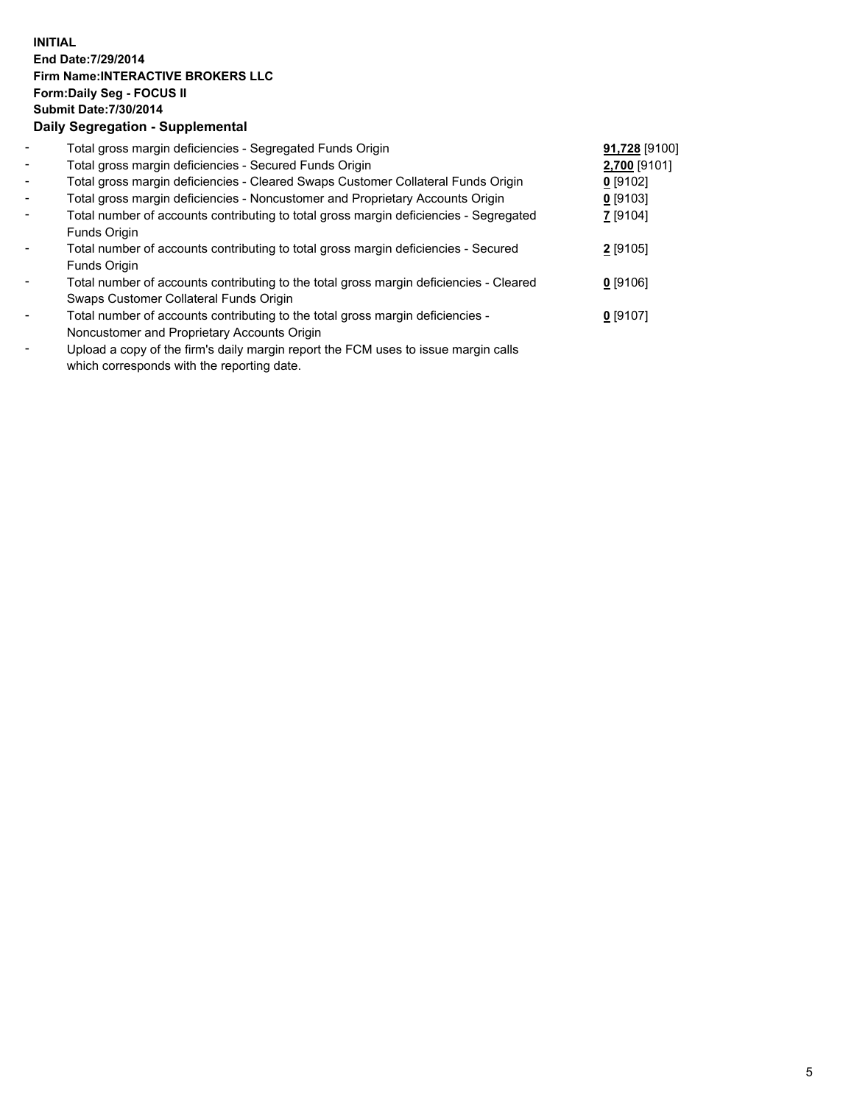## **INITIAL End Date:7/29/2014 Firm Name:INTERACTIVE BROKERS LLC Form:Daily Seg - FOCUS II Submit Date:7/30/2014 Daily Segregation - Supplemental**

| $\blacksquare$           | Total gross margin deficiencies - Segregated Funds Origin                                              | 91,728 [9100] |  |
|--------------------------|--------------------------------------------------------------------------------------------------------|---------------|--|
| $\overline{\phantom{a}}$ | Total gross margin deficiencies - Secured Funds Origin                                                 | 2,700 [9101]  |  |
| $\blacksquare$           | Total gross margin deficiencies - Cleared Swaps Customer Collateral Funds Origin                       | $0$ [9102]    |  |
| $\blacksquare$           | Total gross margin deficiencies - Noncustomer and Proprietary Accounts Origin                          | $0$ [9103]    |  |
| $\blacksquare$           | Total number of accounts contributing to total gross margin deficiencies - Segregated                  | $Z$ [9104]    |  |
|                          | Funds Origin                                                                                           |               |  |
| $\blacksquare$           | Total number of accounts contributing to total gross margin deficiencies - Secured                     | $2$ [9105]    |  |
|                          | Funds Origin                                                                                           |               |  |
|                          | Total number of accounts contributing to the total gross margin deficiencies - Cleared                 | $0$ [9106]    |  |
|                          | Swaps Customer Collateral Funds Origin                                                                 |               |  |
| $\blacksquare$           | Total number of accounts contributing to the total gross margin deficiencies -                         | $0$ [9107]    |  |
|                          | Noncustomer and Proprietary Accounts Origin                                                            |               |  |
|                          | that a discussion of the functor deficiencements are cuttles. FONA corrected to concern the collection |               |  |

- Upload a copy of the firm's daily margin report the FCM uses to issue margin calls which corresponds with the reporting date.